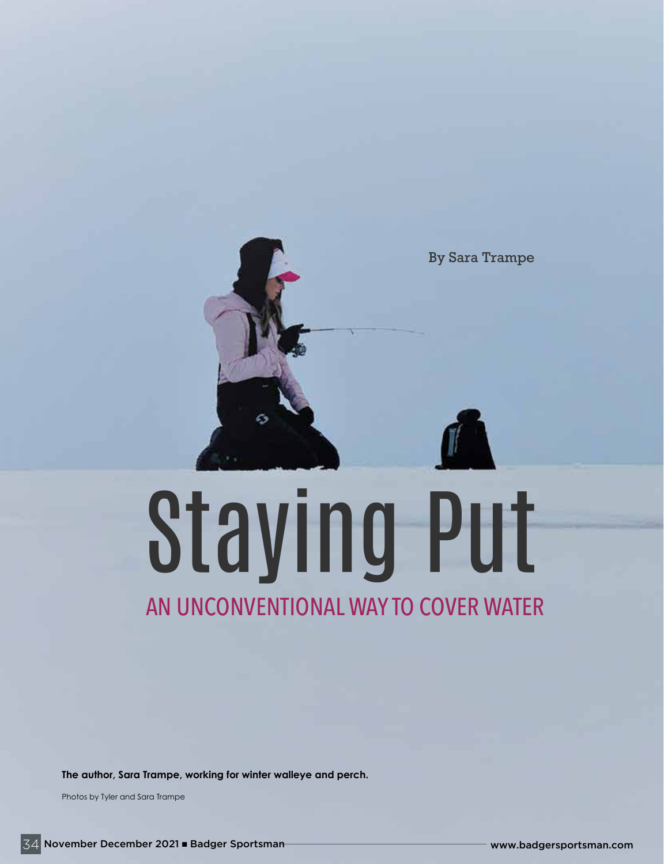

# Staying Put AN UNCONVENTIONAL WAY TO COVER WATER

**The author, Sara Trampe, working for winter walleye and perch.**

Photos by Tyler and Sara Trampe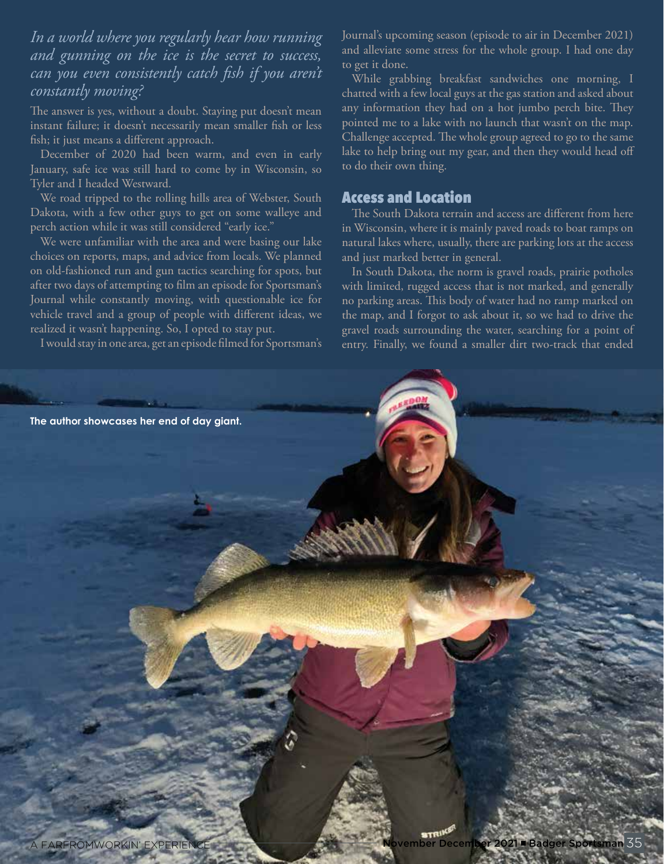### *In a world where you regularly hear how running and gunning on the ice is the secret to success, can you even consistently catch fish if you aren't constantly moving?*

The answer is yes, without a doubt. Staying put doesn't mean instant failure; it doesn't necessarily mean smaller fish or less fish; it just means a different approach.

December of 2020 had been warm, and even in early January, safe ice was still hard to come by in Wisconsin, so Tyler and I headed Westward.

We road tripped to the rolling hills area of Webster, South Dakota, with a few other guys to get on some walleye and perch action while it was still considered "early ice."

We were unfamiliar with the area and were basing our lake choices on reports, maps, and advice from locals. We planned on old-fashioned run and gun tactics searching for spots, but after two days of attempting to film an episode for Sportsman's Journal while constantly moving, with questionable ice for vehicle travel and a group of people with different ideas, we realized it wasn't happening. So, I opted to stay put.

I would stay in one area, get an episode filmed for Sportsman's

Journal's upcoming season (episode to air in December 2021) and alleviate some stress for the whole group. I had one day to get it done.

While grabbing breakfast sandwiches one morning, I chatted with a few local guys at the gas station and asked about any information they had on a hot jumbo perch bite. They pointed me to a lake with no launch that wasn't on the map. Challenge accepted. The whole group agreed to go to the same lake to help bring out my gear, and then they would head off to do their own thing.

#### Access and Location

The South Dakota terrain and access are different from here in Wisconsin, where it is mainly paved roads to boat ramps on natural lakes where, usually, there are parking lots at the access and just marked better in general.

In South Dakota, the norm is gravel roads, prairie potholes with limited, rugged access that is not marked, and generally no parking areas. This body of water had no ramp marked on the map, and I forgot to ask about it, so we had to drive the gravel roads surrounding the water, searching for a point of entry. Finally, we found a smaller dirt two-track that ended

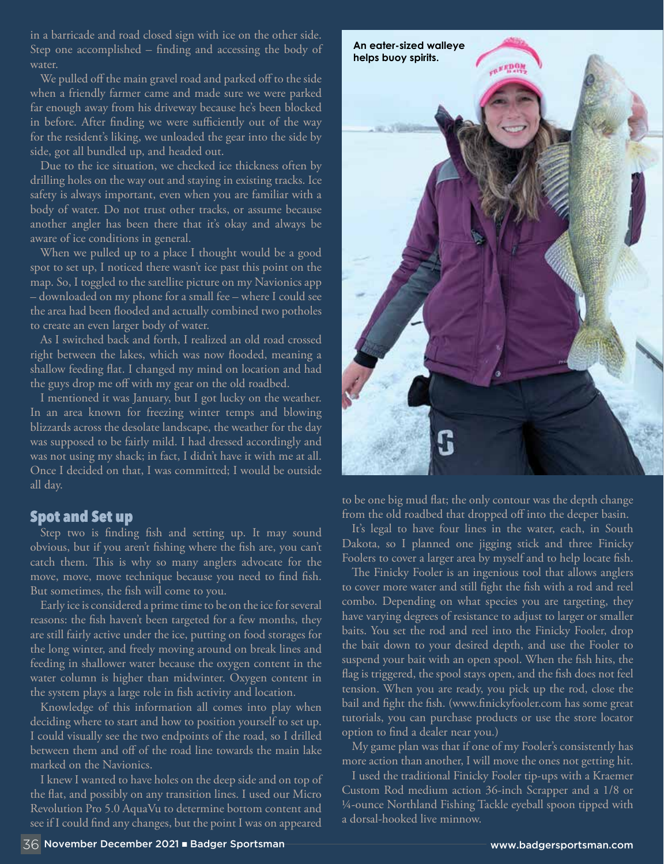in a barricade and road closed sign with ice on the other side. Step one accomplished – finding and accessing the body of water.

We pulled off the main gravel road and parked off to the side when a friendly farmer came and made sure we were parked far enough away from his driveway because he's been blocked in before. After finding we were sufficiently out of the way for the resident's liking, we unloaded the gear into the side by side, got all bundled up, and headed out.

Due to the ice situation, we checked ice thickness often by drilling holes on the way out and staying in existing tracks. Ice safety is always important, even when you are familiar with a body of water. Do not trust other tracks, or assume because another angler has been there that it's okay and always be aware of ice conditions in general.

When we pulled up to a place I thought would be a good spot to set up, I noticed there wasn't ice past this point on the map. So, I toggled to the satellite picture on my Navionics app – downloaded on my phone for a small fee – where I could see the area had been flooded and actually combined two potholes to create an even larger body of water.

As I switched back and forth, I realized an old road crossed right between the lakes, which was now flooded, meaning a shallow feeding flat. I changed my mind on location and had the guys drop me off with my gear on the old roadbed.

I mentioned it was January, but I got lucky on the weather. In an area known for freezing winter temps and blowing blizzards across the desolate landscape, the weather for the day was supposed to be fairly mild. I had dressed accordingly and was not using my shack; in fact, I didn't have it with me at all. Once I decided on that, I was committed; I would be outside all day.

#### Spot and Set up

Step two is finding fish and setting up. It may sound obvious, but if you aren't fishing where the fish are, you can't catch them. This is why so many anglers advocate for the move, move, move technique because you need to find fish. But sometimes, the fish will come to you.

Early ice is considered a prime time to be on the ice for several reasons: the fish haven't been targeted for a few months, they are still fairly active under the ice, putting on food storages for the long winter, and freely moving around on break lines and feeding in shallower water because the oxygen content in the water column is higher than midwinter. Oxygen content in the system plays a large role in fish activity and location.

Knowledge of this information all comes into play when deciding where to start and how to position yourself to set up. I could visually see the two endpoints of the road, so I drilled between them and off of the road line towards the main lake marked on the Navionics.

I knew I wanted to have holes on the deep side and on top of the flat, and possibly on any transition lines. I used our Micro Revolution Pro 5.0 AquaVu to determine bottom content and see if I could find any changes, but the point I was on appeared



to be one big mud flat; the only contour was the depth change from the old roadbed that dropped off into the deeper basin.

It's legal to have four lines in the water, each, in South Dakota, so I planned one jigging stick and three Finicky Foolers to cover a larger area by myself and to help locate fish.

The Finicky Fooler is an ingenious tool that allows anglers to cover more water and still fight the fish with a rod and reel combo. Depending on what species you are targeting, they have varying degrees of resistance to adjust to larger or smaller baits. You set the rod and reel into the Finicky Fooler, drop the bait down to your desired depth, and use the Fooler to suspend your bait with an open spool. When the fish hits, the flag is triggered, the spool stays open, and the fish does not feel tension. When you are ready, you pick up the rod, close the bail and fight the fish. (www.finickyfooler.com has some great tutorials, you can purchase products or use the store locator option to find a dealer near you.)

My game plan was that if one of my Fooler's consistently has more action than another, I will move the ones not getting hit.

I used the traditional Finicky Fooler tip-ups with a Kraemer Custom Rod medium action 36-inch Scrapper and a 1/8 or ¼-ounce Northland Fishing Tackle eyeball spoon tipped with a dorsal-hooked live minnow.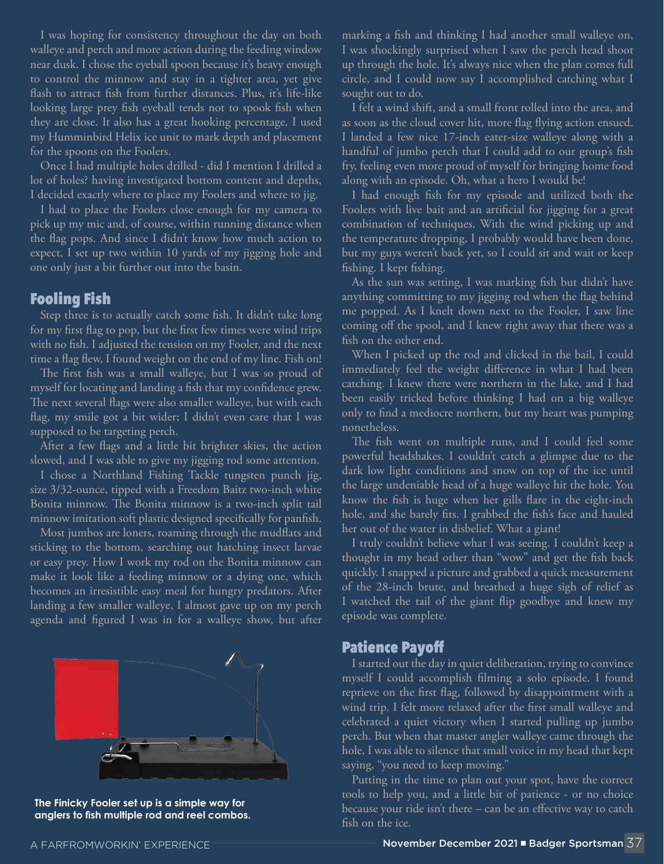I was hoping for consistency throughout the day on both walleye and perch and more action during the feeding window near dusk. I chose the eyeball spoon because it's heavy enough to control the minnow and stay in a tighter area, yet give flash to attract fish from further distances. Plus, it's life-like looking large prey fish eyeball tends not to spook fish when they are close. It also has a great hooking percentage. I used my Humminbird Helix ice unit to mark depth and placement for the spoons on the Foolers.

Once I had multiple holes drilled - did I mention I drilled a lot of holes? having investigated bottom content and depths, I decided exactly where to place my Foolers and where to jig.

I had to place the Foolers close enough for my camera to pick up my mic and, of course, within running distance when the flag pops. And since I didn't know how much action to expect, I set up two within 10 yards of my jigging hole and one only just a bit further out into the basin.

#### Fooling Fish

Step three is to actually catch some fish. It didn't take long for my first flag to pop, but the first few times were wind trips with no fish. I adjusted the tension on my Fooler, and the next time a flag flew, I found weight on the end of my line. Fish on!

The first fish was a small walleye, but I was so proud of myself for locating and landing a fish that my confidence grew. The next several flags were also smaller walleye, but with each flag, my smile got a bit wider; I didn't even care that I was supposed to be targeting perch.

After a few flags and a little bit brighter skies, the action slowed, and I was able to give my jigging rod some attention.

I chose a Northland Fishing Tackle tungsten punch jig, size 3/32-ounce, tipped with a Freedom Baitz two-inch white Bonita minnow. The Bonita minnow is a two-inch split tail minnow imitation soft plastic designed specifically for panfish.

Most jumbos are loners, roaming through the mudflats and sticking to the bottom, searching out hatching insect larvae or easy prey. How I work my rod on the Bonita minnow can make it look like a feeding minnow or a dying one, which becomes an irresistible easy meal for hungry predators. After landing a few smaller walleye, I almost gave up on my perch agenda and figured I was in for a walleye show, but after



**The Finicky Fooler set up is a simple way for anglers to fish multiple rod and reel combos.**

marking a fish and thinking I had another small walleye on, I was shockingly surprised when I saw the perch head shoot up through the hole. It's always nice when the plan comes full circle, and I could now say I accomplished catching what I sought out to do.

I felt a wind shift, and a small front rolled into the area, and as soon as the cloud cover hit, more flag flying action ensued. I landed a few nice 17-inch eater-size walleye along with a handful of jumbo perch that I could add to our group's fish fry, feeling even more proud of myself for bringing home food along with an episode. Oh, what a hero I would be!

I had enough fish for my episode and utilized both the Foolers with live bait and an artificial for jigging for a great combination of techniques. With the wind picking up and the temperature dropping, I probably would have been done, but my guys weren't back yet, so I could sit and wait or keep fishing. I kept fishing.

As the sun was setting, I was marking fish but didn't have anything committing to my jigging rod when the flag behind me popped. As I knelt down next to the Fooler, I saw line coming off the spool, and I knew right away that there was a fish on the other end.

When I picked up the rod and clicked in the bail, I could immediately feel the weight difference in what I had been catching. I knew there were northern in the lake, and I had been easily tricked before thinking I had on a big walleye only to find a mediocre northern, but my heart was pumping nonetheless.

The fish went on multiple runs, and I could feel some powerful headshakes. I couldn't catch a glimpse due to the dark low light conditions and snow on top of the ice until the large undeniable head of a huge walleye hit the hole. You know the fish is huge when her gills flare in the eight-inch hole, and she barely fits. I grabbed the fish's face and hauled her out of the water in disbelief. What a giant!

I truly couldn't believe what I was seeing. I couldn't keep a thought in my head other than "wow" and get the fish back quickly. I snapped a picture and grabbed a quick measurement of the 28-inch brute, and breathed a huge sigh of relief as I watched the tail of the giant flip goodbye and knew my episode was complete.

#### Patience Payoff

I started out the day in quiet deliberation, trying to convince myself I could accomplish filming a solo episode. I found reprieve on the first flag, followed by disappointment with a wind trip. I felt more relaxed after the first small walleye and celebrated a quiet victory when I started pulling up jumbo perch. But when that master angler walleye came through the hole, I was able to silence that small voice in my head that kept saying, "you need to keep moving."

Putting in the time to plan out your spot, have the correct tools to help you, and a little bit of patience - or no choice because your ride isn't there – can be an effective way to catch fish on the ice.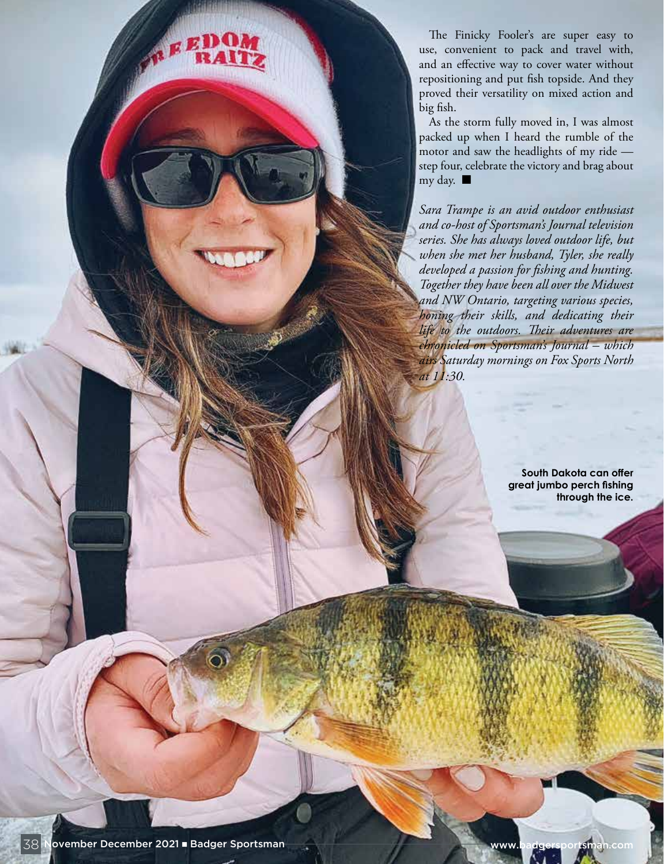The Finicky Fooler's are super easy to use, convenient to pack and travel with, and an effective way to cover water without repositioning and put fish topside. And they proved their versatility on mixed action and big fish.

As the storm fully moved in, I was almost packed up when I heard the rumble of the motor and saw the headlights of my ride step four, celebrate the victory and brag about my day.  $\blacksquare$ 

*Sara Trampe is an avid outdoor enthusiast and co-host of Sportsman's Journal television series. She has always loved outdoor life, but when she met her husband, Tyler, she really developed a passion for fishing and hunting. Together they have been all over the Midwest and NW Ontario, targeting various species, honing their skills, and dedicating their life to the outdoors. Their adventures are chronicled on Sportsman's Journal – which airs Saturday mornings on Fox Sports North at 11:30.*

> **South Dakota can offer great jumbo perch fishing through the ice.**